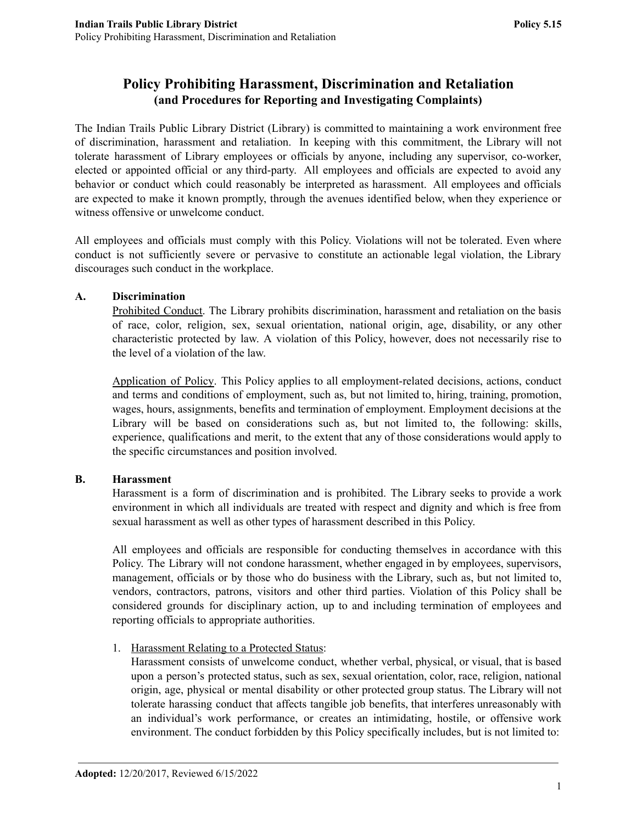# **Policy Prohibiting Harassment, Discrimination and Retaliation (and Procedures for Reporting and Investigating Complaints)**

The Indian Trails Public Library District (Library) is committed to maintaining a work environment free of discrimination, harassment and retaliation. In keeping with this commitment, the Library will not tolerate harassment of Library employees or officials by anyone, including any supervisor, co-worker, elected or appointed official or any third-party. All employees and officials are expected to avoid any behavior or conduct which could reasonably be interpreted as harassment. All employees and officials are expected to make it known promptly, through the avenues identified below, when they experience or witness offensive or unwelcome conduct.

All employees and officials must comply with this Policy. Violations will not be tolerated. Even where conduct is not sufficiently severe or pervasive to constitute an actionable legal violation, the Library discourages such conduct in the workplace.

#### **A. Discrimination**

Prohibited Conduct. The Library prohibits discrimination, harassment and retaliation on the basis of race, color, religion, sex, sexual orientation, national origin, age, disability, or any other characteristic protected by law. A violation of this Policy, however, does not necessarily rise to the level of a violation of the law.

Application of Policy. This Policy applies to all employment-related decisions, actions, conduct and terms and conditions of employment, such as, but not limited to, hiring, training, promotion, wages, hours, assignments, benefits and termination of employment. Employment decisions at the Library will be based on considerations such as, but not limited to, the following: skills, experience, qualifications and merit, to the extent that any of those considerations would apply to the specific circumstances and position involved.

# **B. Harassment**

Harassment is a form of discrimination and is prohibited. The Library seeks to provide a work environment in which all individuals are treated with respect and dignity and which is free from sexual harassment as well as other types of harassment described in this Policy.

All employees and officials are responsible for conducting themselves in accordance with this Policy. The Library will not condone harassment, whether engaged in by employees, supervisors, management, officials or by those who do business with the Library, such as, but not limited to, vendors, contractors, patrons, visitors and other third parties. Violation of this Policy shall be considered grounds for disciplinary action, up to and including termination of employees and reporting officials to appropriate authorities.

1. Harassment Relating to a Protected Status:

Harassment consists of unwelcome conduct, whether verbal, physical, or visual, that is based upon a person's protected status, such as sex, sexual orientation, color, race, religion, national origin, age, physical or mental disability or other protected group status. The Library will not tolerate harassing conduct that affects tangible job benefits, that interferes unreasonably with an individual's work performance, or creates an intimidating, hostile, or offensive work environment. The conduct forbidden by this Policy specifically includes, but is not limited to: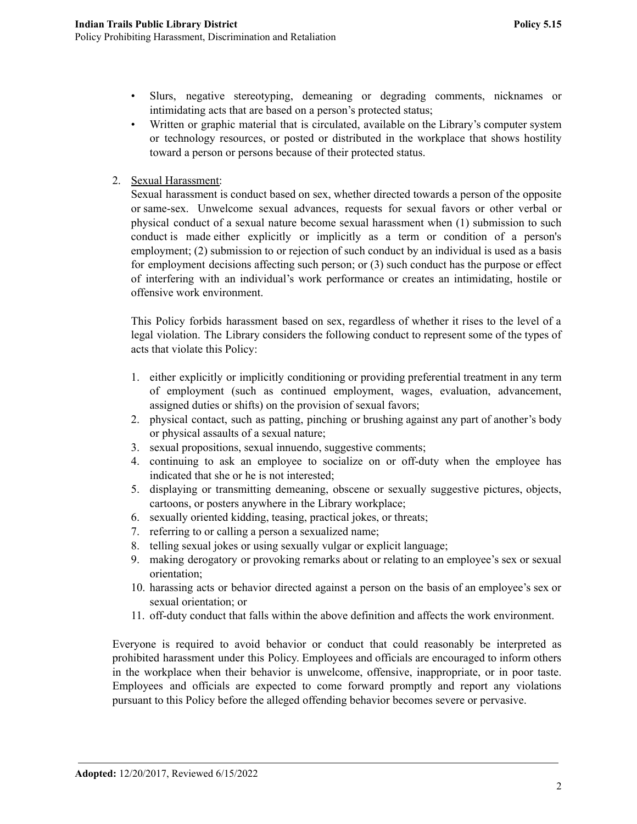- Slurs, negative stereotyping, demeaning or degrading comments, nicknames or intimidating acts that are based on a person's protected status;
- Written or graphic material that is circulated, available on the Library's computer system or technology resources, or posted or distributed in the workplace that shows hostility toward a person or persons because of their protected status.
- 2. Sexual Harassment:

Sexual harassment is conduct based on sex, whether directed towards a person of the opposite or same-sex. Unwelcome sexual advances, requests for sexual favors or other verbal or physical conduct of a sexual nature become sexual harassment when (1) submission to such conduct is made either explicitly or implicitly as a term or condition of a person's employment; (2) submission to or rejection of such conduct by an individual is used as a basis for employment decisions affecting such person; or (3) such conduct has the purpose or effect of interfering with an individual's work performance or creates an intimidating, hostile or offensive work environment.

This Policy forbids harassment based on sex, regardless of whether it rises to the level of a legal violation. The Library considers the following conduct to represent some of the types of acts that violate this Policy:

- 1. either explicitly or implicitly conditioning or providing preferential treatment in any term of employment (such as continued employment, wages, evaluation, advancement, assigned duties or shifts) on the provision of sexual favors;
- 2. physical contact, such as patting, pinching or brushing against any part of another's body or physical assaults of a sexual nature;
- 3. sexual propositions, sexual innuendo, suggestive comments;
- 4. continuing to ask an employee to socialize on or off-duty when the employee has indicated that she or he is not interested;
- 5. displaying or transmitting demeaning, obscene or sexually suggestive pictures, objects, cartoons, or posters anywhere in the Library workplace;
- 6. sexually oriented kidding, teasing, practical jokes, or threats;
- 7. referring to or calling a person a sexualized name;
- 8. telling sexual jokes or using sexually vulgar or explicit language;
- 9. making derogatory or provoking remarks about or relating to an employee's sex or sexual orientation;
- 10. harassing acts or behavior directed against a person on the basis of an employee's sex or sexual orientation; or
- 11. off-duty conduct that falls within the above definition and affects the work environment.

Everyone is required to avoid behavior or conduct that could reasonably be interpreted as prohibited harassment under this Policy. Employees and officials are encouraged to inform others in the workplace when their behavior is unwelcome, offensive, inappropriate, or in poor taste. Employees and officials are expected to come forward promptly and report any violations pursuant to this Policy before the alleged offending behavior becomes severe or pervasive.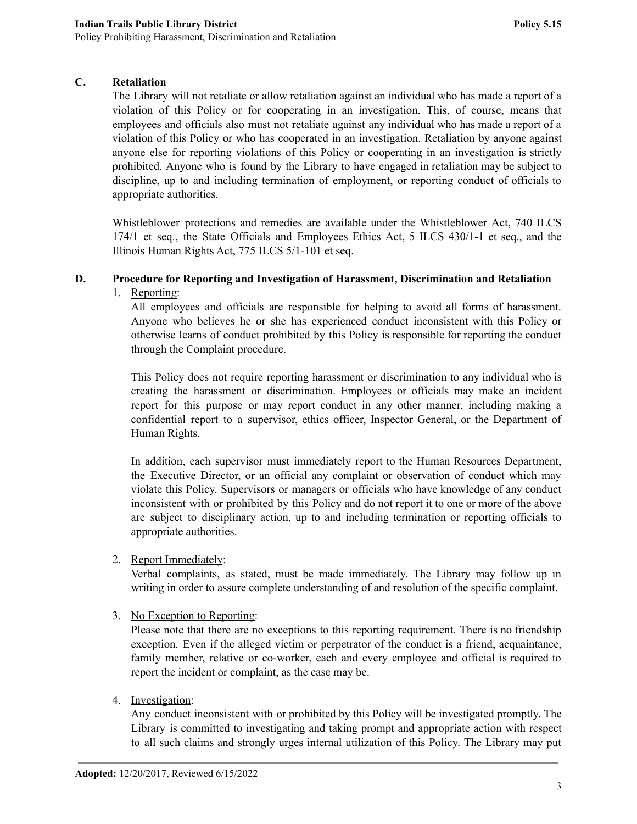# **C. Retaliation**

The Library will not retaliate or allow retaliation against an individual who has made a report of a violation of this Policy or for cooperating in an investigation. This, of course, means that employees and officials also must not retaliate against any individual who has made a report of a violation of this Policy or who has cooperated in an investigation. Retaliation by anyone against anyone else for reporting violations of this Policy or cooperating in an investigation is strictly prohibited. Anyone who is found by the Library to have engaged in retaliation may be subject to discipline, up to and including termination of employment, or reporting conduct of officials to appropriate authorities.

Whistleblower protections and remedies are available under the Whistleblower Act, 740 ILCS 174/1 et seq., the State Officials and Employees Ethics Act, 5 ILCS 430/1-1 et seq., and the Illinois Human Rights Act, 775 ILCS 5/1-101 et seq.

#### **D. Procedure for Reporting and Investigation of Harassment, Discrimination and Retaliation**

# 1. Reporting:

All employees and officials are responsible for helping to avoid all forms of harassment. Anyone who believes he or she has experienced conduct inconsistent with this Policy or otherwise learns of conduct prohibited by this Policy is responsible for reporting the conduct through the Complaint procedure.

This Policy does not require reporting harassment or discrimination to any individual who is creating the harassment or discrimination. Employees or officials may make an incident report for this purpose or may report conduct in any other manner, including making a confidential report to a supervisor, ethics officer, Inspector General, or the Department of Human Rights.

In addition, each supervisor must immediately report to the Human Resources Department, the Executive Director, or an official any complaint or observation of conduct which may violate this Policy. Supervisors or managers or officials who have knowledge of any conduct inconsistent with or prohibited by this Policy and do not report it to one or more of the above are subject to disciplinary action, up to and including termination or reporting officials to appropriate authorities.

#### 2. Report Immediately:

Verbal complaints, as stated, must be made immediately. The Library may follow up in writing in order to assure complete understanding of and resolution of the specific complaint.

# 3. No Exception to Reporting:

Please note that there are no exceptions to this reporting requirement. There is no friendship exception. Even if the alleged victim or perpetrator of the conduct is a friend, acquaintance, family member, relative or co-worker, each and every employee and official is required to report the incident or complaint, as the case may be.

# 4. Investigation:

Any conduct inconsistent with or prohibited by this Policy will be investigated promptly. The Library is committed to investigating and taking prompt and appropriate action with respect to all such claims and strongly urges internal utilization of this Policy. The Library may put